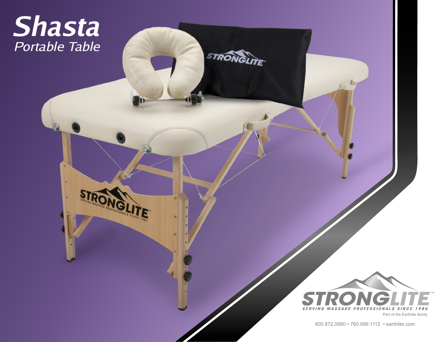## *Shasta Portable Table*

**IGLIT** 

IE.



**STRONGLITE** 

800.872.0560 • 760.599.1112 • earthlite.com